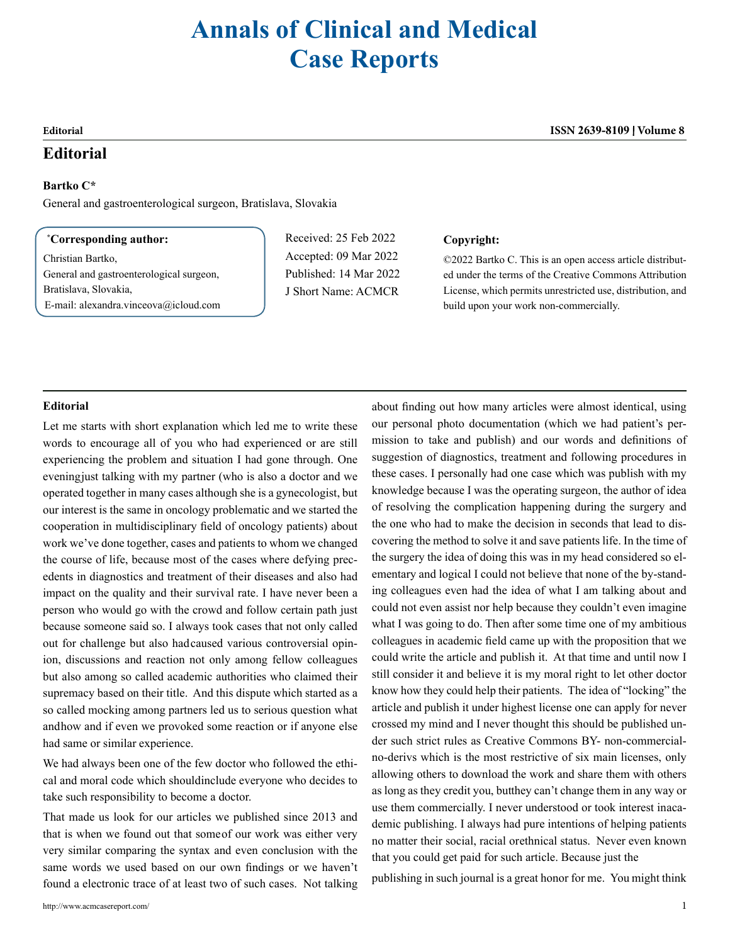# **Annals of Clinical and Medical Case Reports**

## **Editorial**

### **Bartko C\***

General and gastroenterological surgeon, Bratislava, Slovakia

#### **\* Corresponding author:**

Christian Bartko, General and gastroenterological surgeon, Bratislava, Slovakia, E-mail: [alexandra.vinceova@icloud.com](mailto:alexandra.vinceova@icloud.com) Received: 25 Feb 2022 Accepted: 09 Mar 2022 Published: 14 Mar 2022 J Short Name: ACMCR

#### **Copyright:**

©2022 Bartko C. This is an open access article distributed under the terms of the Creative Commons Attribution License, which permits unrestricted use, distribution, and build upon your work non-commercially.

### **Editorial**

Let me starts with short explanation which led me to write these words to encourage all of you who had experienced or are still experiencing the problem and situation I had gone through. One evening just talking with my partner (who is also a doctor and we operated together in many cases although she is a gynecologist, but our interest is the same in oncology problematic and we started the cooperation in multidisciplinary field of oncology patients) about work we've done together, cases and patients to whom we changed the course of life, because most of the cases where defying precedents in diagnostics and treatment of their diseases and also had impact on the quality and their survival rate. I have never been a person who would go with the crowd and follow certain path just because someone said so. I always took cases that not only called out for challenge but also had caused various controversial opinion, discussions and reaction not only among fellow colleagues but also among so called academic authorities who claimed their supremacy based on their title. And this dispute which started as a so called mocking among partners led us to serious question what and how and if even we provoked some reaction or if anyone else had same or similar experience.

We had always been one of the few doctor who followed the ethical and moral code which should include everyone who decides to take such responsibility to become a doctor.

That made us look for our articles we published since 2013 and that is when we found out that some of our work was either very very similar comparing the syntax and even conclusion with the same words we used based on our own findings or we haven't found a electronic trace of at least two of such cases. Not talking

about finding out how many articles were almost identical, using our personal photo documentation (which we had patient's permission to take and publish) and our words and definitions of suggestion of diagnostics, treatment and following procedures in these cases. I personally had one case which was publish with my knowledge because I was the operating surgeon, the author of idea of resolving the complication happening during the surgery and the one who had to make the decision in seconds that lead to discovering the method to solve it and save patients life. In the time of the surgery the idea of doing this was in my head considered so elementary and logical I could not believe that none of the by-standing colleagues even had the idea of what I am talking about and could not even assist nor help because they couldn't even imagine what I was going to do. Then after some time one of my ambitious colleagues in academic field came up with the proposition that we could write the article and publish it. At that time and until now I still consider it and believe it is my moral right to let other doctor know how they could help their patients. The idea of "locking" the article and publish it under highest license one can apply for never crossed my mind and I never thought this should be published under such strict rules as Creative Commons BY- non-commercialno-derivs which is the most restrictive of six main licenses, only allowing others to download the work and share them with others as long as they credit you, butthey can't change them in any way or use them commercially. I never understood or took interest inacademic publishing. I always had pure intentions of helping patients no matter their social, racial or ethnical status. Never even known that you could get paid for such article. Because just the

publishing in such journal is a great honor for me. You might think